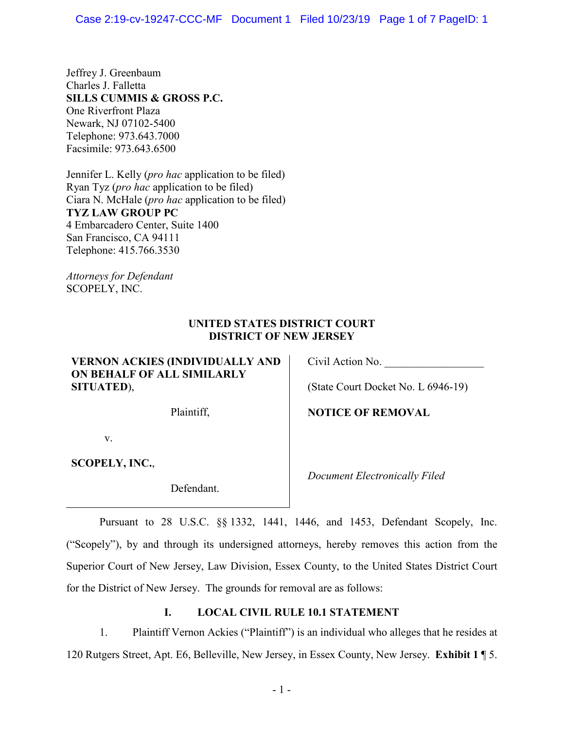Jeffrey J. Greenbaum Charles J. Falletta **SILLS CUMMIS & GROSS P.C.**  One Riverfront Plaza Newark, NJ 07102-5400 Telephone: 973.643.7000 Facsimile: 973.643.6500

Jennifer L. Kelly (*pro hac* application to be filed) Ryan Tyz (*pro hac* application to be filed) Ciara N. McHale (*pro hac* application to be filed) **TYZ LAW GROUP PC**  4 Embarcadero Center, Suite 1400 San Francisco, CA 94111 Telephone: 415.766.3530

*Attorneys for Defendant*  SCOPELY, INC.

# **UNITED STATES DISTRICT COURT DISTRICT OF NEW JERSEY**

**VERNON ACKIES (INDIVIDUALLY AND ON BEHALF OF ALL SIMILARLY SITUATED**),

v.

**SCOPELY, INC.**,

Defendant.

Civil Action No.

(State Court Docket No. L 6946-19)

Plaintiff, **NOTICE OF REMOVAL** 

*Document Electronically Filed*

Pursuant to 28 U.S.C. §§ 1332, 1441, 1446, and 1453, Defendant Scopely, Inc. ("Scopely"), by and through its undersigned attorneys, hereby removes this action from the Superior Court of New Jersey, Law Division, Essex County, to the United States District Court for the District of New Jersey. The grounds for removal are as follows:

# **I. LOCAL CIVIL RULE 10.1 STATEMENT**

1. Plaintiff Vernon Ackies ("Plaintiff") is an individual who alleges that he resides at 120 Rutgers Street, Apt. E6, Belleville, New Jersey, in Essex County, New Jersey. **Exhibit 1** ¶ 5.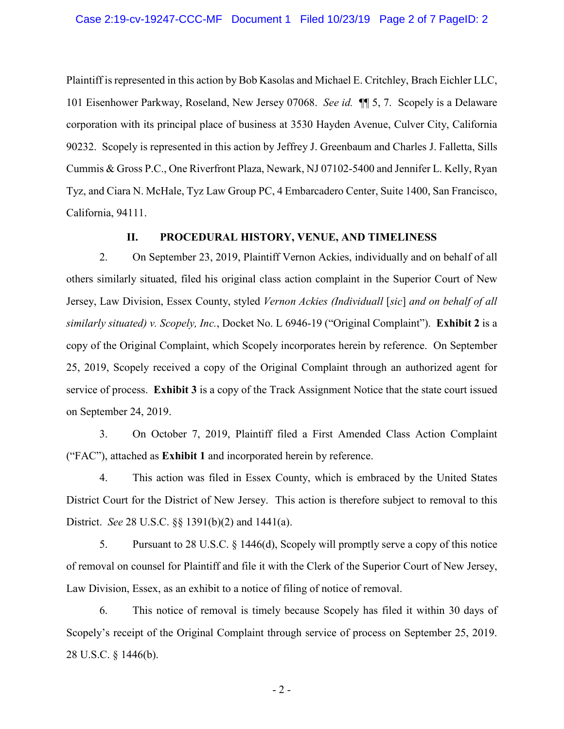Plaintiff is represented in this action by Bob Kasolas and Michael E. Critchley, Brach Eichler LLC, 101 Eisenhower Parkway, Roseland, New Jersey 07068. *See id.* ¶¶ 5, 7. Scopely is a Delaware corporation with its principal place of business at 3530 Hayden Avenue, Culver City, California 90232. Scopely is represented in this action by Jeffrey J. Greenbaum and Charles J. Falletta, Sills Cummis & Gross P.C., One Riverfront Plaza, Newark, NJ 07102-5400 and Jennifer L. Kelly, Ryan Tyz, and Ciara N. McHale, Tyz Law Group PC, 4 Embarcadero Center, Suite 1400, San Francisco, California, 94111.

### **II. PROCEDURAL HISTORY, VENUE, AND TIMELINESS**

2. On September 23, 2019, Plaintiff Vernon Ackies, individually and on behalf of all others similarly situated, filed his original class action complaint in the Superior Court of New Jersey, Law Division, Essex County, styled *Vernon Ackies (Individuall* [*sic*] *and on behalf of all similarly situated) v. Scopely, Inc.*, Docket No. L 6946-19 ("Original Complaint"). **Exhibit 2** is a copy of the Original Complaint, which Scopely incorporates herein by reference. On September 25, 2019, Scopely received a copy of the Original Complaint through an authorized agent for service of process. **Exhibit 3** is a copy of the Track Assignment Notice that the state court issued on September 24, 2019.

3. On October 7, 2019, Plaintiff filed a First Amended Class Action Complaint ("FAC"), attached as **Exhibit 1** and incorporated herein by reference.

4. This action was filed in Essex County, which is embraced by the United States District Court for the District of New Jersey. This action is therefore subject to removal to this District. *See* 28 U.S.C. §§ 1391(b)(2) and 1441(a).

5. Pursuant to 28 U.S.C. § 1446(d), Scopely will promptly serve a copy of this notice of removal on counsel for Plaintiff and file it with the Clerk of the Superior Court of New Jersey, Law Division, Essex, as an exhibit to a notice of filing of notice of removal.

6. This notice of removal is timely because Scopely has filed it within 30 days of Scopely's receipt of the Original Complaint through service of process on September 25, 2019. 28 U.S.C. § 1446(b).

 $-2-$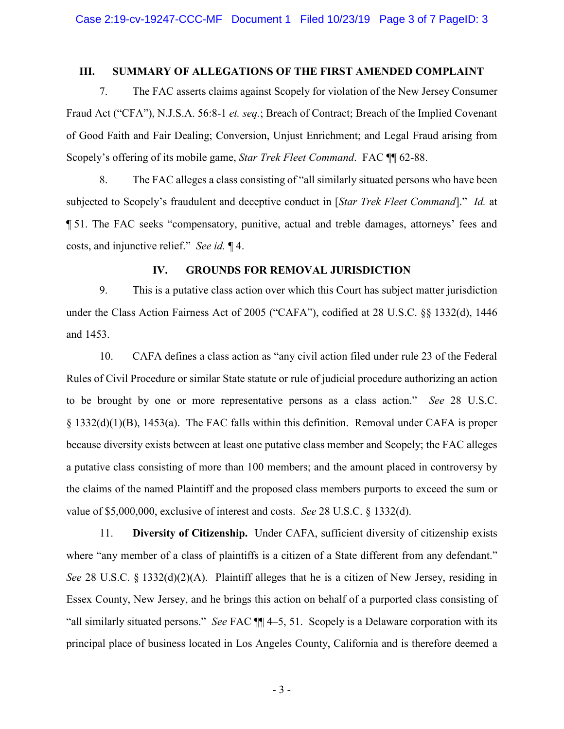#### **III. SUMMARY OF ALLEGATIONS OF THE FIRST AMENDED COMPLAINT**

7. The FAC asserts claims against Scopely for violation of the New Jersey Consumer Fraud Act ("CFA"), N.J.S.A. 56:8-1 *et. seq.*; Breach of Contract; Breach of the Implied Covenant of Good Faith and Fair Dealing; Conversion, Unjust Enrichment; and Legal Fraud arising from Scopely's offering of its mobile game, *Star Trek Fleet Command*. FAC ¶¶ 62-88.

8. The FAC alleges a class consisting of "all similarly situated persons who have been subjected to Scopely's fraudulent and deceptive conduct in [*Star Trek Fleet Command*]." *Id.* at ¶ 51. The FAC seeks "compensatory, punitive, actual and treble damages, attorneys' fees and costs, and injunctive relief." *See id.* ¶ 4.

# **IV. GROUNDS FOR REMOVAL JURISDICTION**

9. This is a putative class action over which this Court has subject matter jurisdiction under the Class Action Fairness Act of 2005 ("CAFA"), codified at 28 U.S.C. §§ 1332(d), 1446 and 1453.

10. CAFA defines a class action as "any civil action filed under rule 23 of the Federal Rules of Civil Procedure or similar State statute or rule of judicial procedure authorizing an action to be brought by one or more representative persons as a class action." *See* 28 U.S.C. § 1332(d)(1)(B), 1453(a). The FAC falls within this definition. Removal under CAFA is proper because diversity exists between at least one putative class member and Scopely; the FAC alleges a putative class consisting of more than 100 members; and the amount placed in controversy by the claims of the named Plaintiff and the proposed class members purports to exceed the sum or value of \$5,000,000, exclusive of interest and costs. *See* 28 U.S.C. § 1332(d).

11. **Diversity of Citizenship.** Under CAFA, sufficient diversity of citizenship exists where "any member of a class of plaintiffs is a citizen of a State different from any defendant." *See* 28 U.S.C. § 1332(d)(2)(A). Plaintiff alleges that he is a citizen of New Jersey, residing in Essex County, New Jersey, and he brings this action on behalf of a purported class consisting of "all similarly situated persons." *See* FAC ¶¶ 4–5, 51. Scopely is a Delaware corporation with its principal place of business located in Los Angeles County, California and is therefore deemed a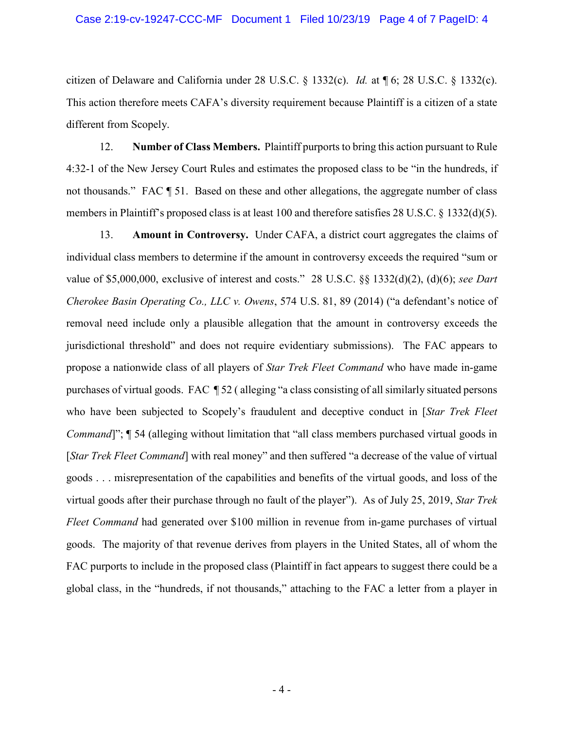citizen of Delaware and California under 28 U.S.C. § 1332(c). *Id.* at ¶ 6; 28 U.S.C. § 1332(c). This action therefore meets CAFA's diversity requirement because Plaintiff is a citizen of a state different from Scopely.

12. **Number of Class Members.** Plaintiff purports to bring this action pursuant to Rule 4:32-1 of the New Jersey Court Rules and estimates the proposed class to be "in the hundreds, if not thousands." FAC  $\parallel$  51. Based on these and other allegations, the aggregate number of class members in Plaintiff's proposed class is at least 100 and therefore satisfies 28 U.S.C. § 1332(d)(5).

13. **Amount in Controversy.** Under CAFA, a district court aggregates the claims of individual class members to determine if the amount in controversy exceeds the required "sum or value of \$5,000,000, exclusive of interest and costs." 28 U.S.C. §§ 1332(d)(2), (d)(6); *see Dart Cherokee Basin Operating Co., LLC v. Owens*, 574 U.S. 81, 89 (2014) ("a defendant's notice of removal need include only a plausible allegation that the amount in controversy exceeds the jurisdictional threshold" and does not require evidentiary submissions). The FAC appears to propose a nationwide class of all players of *Star Trek Fleet Command* who have made in-game purchases of virtual goods. FAC ¶ 52 ( alleging "a class consisting of all similarly situated persons who have been subjected to Scopely's fraudulent and deceptive conduct in [*Star Trek Fleet Command*]";  $\P$  54 (alleging without limitation that "all class members purchased virtual goods in [*Star Trek Fleet Command*] with real money" and then suffered "a decrease of the value of virtual goods . . . misrepresentation of the capabilities and benefits of the virtual goods, and loss of the virtual goods after their purchase through no fault of the player"). As of July 25, 2019, *Star Trek Fleet Command* had generated over \$100 million in revenue from in-game purchases of virtual goods. The majority of that revenue derives from players in the United States, all of whom the FAC purports to include in the proposed class (Plaintiff in fact appears to suggest there could be a global class, in the "hundreds, if not thousands," attaching to the FAC a letter from a player in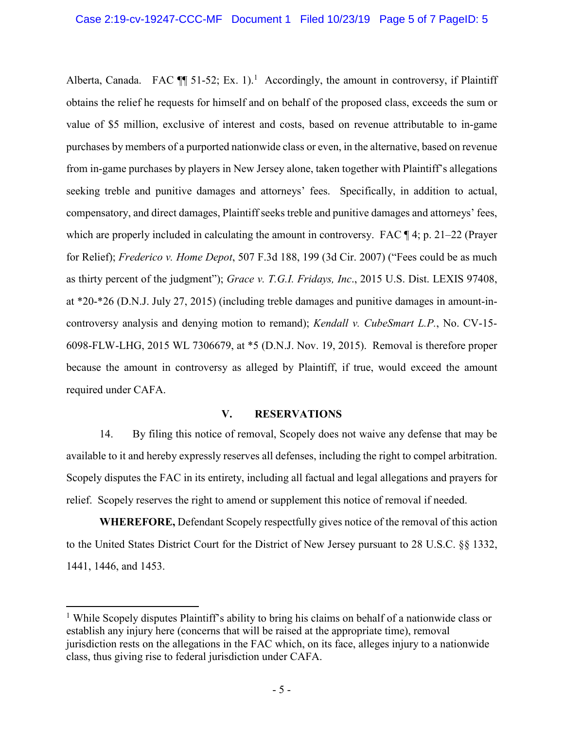Alberta, Canada. FAC  $\P$  51-52; Ex. 1).<sup>1</sup> Accordingly, the amount in controversy, if Plaintiff obtains the relief he requests for himself and on behalf of the proposed class, exceeds the sum or value of \$5 million, exclusive of interest and costs, based on revenue attributable to in-game purchases by members of a purported nationwide class or even, in the alternative, based on revenue from in-game purchases by players in New Jersey alone, taken together with Plaintiff's allegations seeking treble and punitive damages and attorneys' fees. Specifically, in addition to actual, compensatory, and direct damages, Plaintiff seeks treble and punitive damages and attorneys' fees, which are properly included in calculating the amount in controversy. FAC  $\P$ 4; p. 21–22 (Prayer for Relief); *Frederico v. Home Depot*, 507 F.3d 188, 199 (3d Cir. 2007) ("Fees could be as much as thirty percent of the judgment"); *Grace v. T.G.I. Fridays, Inc*., 2015 U.S. Dist. LEXIS 97408, at \*20-\*26 (D.N.J. July 27, 2015) (including treble damages and punitive damages in amount-incontroversy analysis and denying motion to remand); *Kendall v. CubeSmart L.P.*, No. CV-15- 6098-FLW-LHG, 2015 WL 7306679, at \*5 (D.N.J. Nov. 19, 2015). Removal is therefore proper because the amount in controversy as alleged by Plaintiff, if true, would exceed the amount required under CAFA.

# **V. RESERVATIONS**

14. By filing this notice of removal, Scopely does not waive any defense that may be available to it and hereby expressly reserves all defenses, including the right to compel arbitration. Scopely disputes the FAC in its entirety, including all factual and legal allegations and prayers for relief. Scopely reserves the right to amend or supplement this notice of removal if needed.

**WHEREFORE,** Defendant Scopely respectfully gives notice of the removal of this action to the United States District Court for the District of New Jersey pursuant to 28 U.S.C. §§ 1332, 1441, 1446, and 1453.

 $\overline{a}$ 

<sup>&</sup>lt;sup>1</sup> While Scopely disputes Plaintiff's ability to bring his claims on behalf of a nationwide class or establish any injury here (concerns that will be raised at the appropriate time), removal jurisdiction rests on the allegations in the FAC which, on its face, alleges injury to a nationwide class, thus giving rise to federal jurisdiction under CAFA.